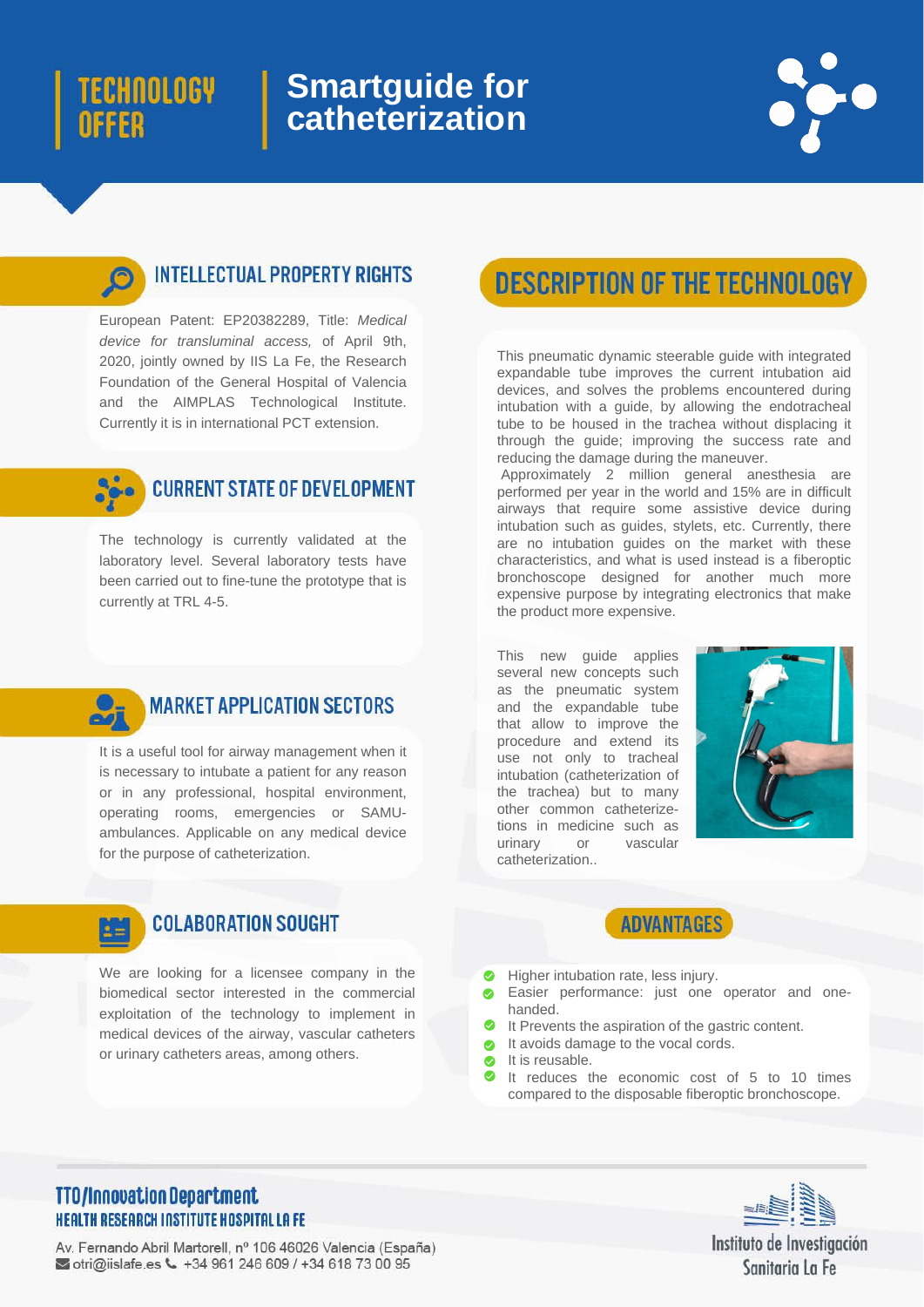# TECHNOLOGY OFFER

## **Smartguide for catheterization**

### **INTELLECTUAL PROPERTY RIGHTS**

European Patent: EP20382289, Title: *Medical device for transluminal access,* of April 9th, 2020, jointly owned by IIS La Fe, the Research Foundation of the General Hospital of Valencia and the AIMPLAS Technological Institute. Currently it is in international PCT extension.



The technology is currently validated at the laboratory level. Several laboratory tests have been carried out to fine-tune the prototype that is currently at TRL 4-5.

# **DESCRIPTION OF THE TECHNOLOGY**

It is a useful tool for airway management when it is necessary to intubate a patient for any reason or in any professional, hospital environment, operating rooms, emergencies or SAMUambulances. Applicable on any medical device for the purpose of catheterization.



We are looking for a licensee company in the biomedical sector interested in the commercial exploitation of the technology to implement in medical devices of the airway, vascular catheters or urinary catheters areas, among others.

This pneumatic dynamic steerable guide with integrated expandable tube improves the current intubation aid devices, and solves the problems encountered during intubation with a guide, by allowing the endotracheal tube to be housed in the trachea without displacing it through the guide; improving the success rate and reducing the damage during the maneuver.

Approximately 2 million general anesthesia are performed per year in the world and 15% are in difficult airways that require some assistive device during intubation such as guides, stylets, etc. Currently, there are no intubation guides on the market with these characteristics, and what is used instead is a fiberoptic bronchoscope designed for another much more expensive purpose by integrating electronics that make the product more expensive.



### **MARKET APPLICATION SECTORS**

This new guide applies several new concepts such as the pneumatic system and the expandable tube that allow to improve the procedure and extend its use not only to tracheal intubation (catheterization of the trachea) but to many other common catheterizetions in medicine such as urinary or vascular catheterization..





- Higher intubation rate, less injury.  $\bullet$
- Easier performance: just one operator and onehanded.
- It Prevents the aspiration of the gastric content.
- It avoids damage to the vocal cords.
- It is reusable.  $\bullet$
- It reduces the economic cost of 5 to 10 times  $\bullet$ compared to the disposable fiberoptic bronchoscope.

### **TTO/Innovation Department HEALTH RESEARCH INSTITUTE HOSPITAL LA FE**

Av. Fernando Abril Martorell, nº 106 46026 Valencia (España) otri@iislafe.es \ +34 961 246 609 / +34 618 73 00 95



Instituto de Investigación Sanitaria La Fe